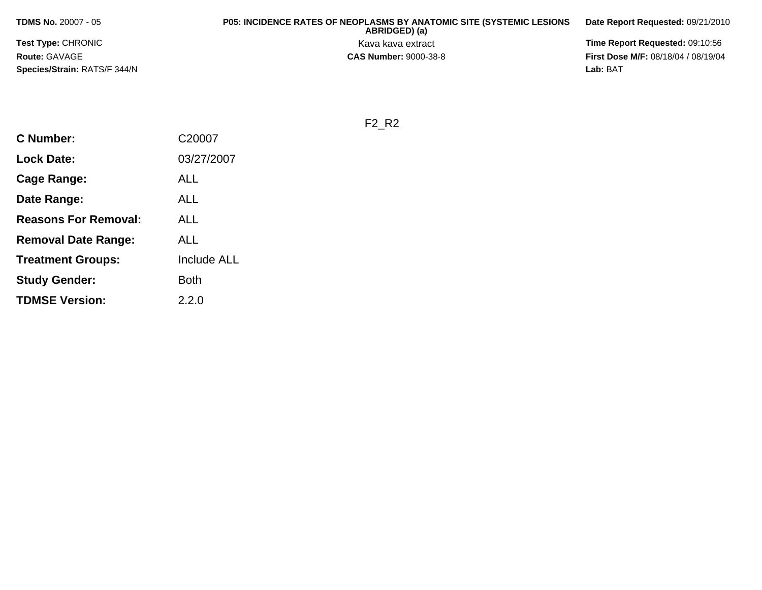**TDMS No.** 20007 - 05

**Test Type:** CHRONIC**Route:** GAVAGE**Species/Strain:** RATS/F 344/N

## **P05: INCIDENCE RATES OF NEOPLASMS BY ANATOMIC SITE (SYSTEMIC LESIONS ABRIDGED) (a) Date Report Requested:** 09/21/2010Kava kava extract **Time Report Requested:** 09:10:56<br>**CAS Number:** 9000-38-8 **CAS Number:** 9000-38-8

**First Dose M/F:** 08/18/04 / 08/19/04 Lab: BAT **Lab:** BAT

F2\_R2

| <b>C</b> Number:            | C20007             |
|-----------------------------|--------------------|
| <b>Lock Date:</b>           | 03/27/2007         |
| Cage Range:                 | ALL                |
| Date Range:                 | ALL                |
| <b>Reasons For Removal:</b> | ALL                |
| <b>Removal Date Range:</b>  | ALL                |
| <b>Treatment Groups:</b>    | <b>Include ALL</b> |
| <b>Study Gender:</b>        | Both               |
| <b>TDMSE Version:</b>       | 2.2.0              |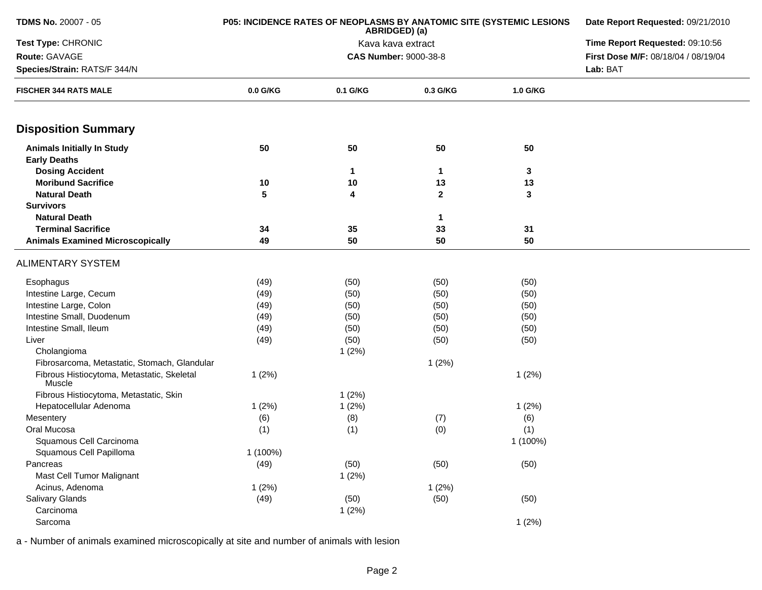| <b>TDMS No. 20007 - 05</b>                           | P05: INCIDENCE RATES OF NEOPLASMS BY ANATOMIC SITE (SYSTEMIC LESIONS | Date Report Requested: 09/21/2010 |                                 |          |                                     |
|------------------------------------------------------|----------------------------------------------------------------------|-----------------------------------|---------------------------------|----------|-------------------------------------|
| Test Type: CHRONIC                                   |                                                                      | Kava kava extract                 | Time Report Requested: 09:10:56 |          |                                     |
| Route: GAVAGE                                        |                                                                      |                                   | <b>CAS Number: 9000-38-8</b>    |          | First Dose M/F: 08/18/04 / 08/19/04 |
| Species/Strain: RATS/F 344/N                         |                                                                      |                                   |                                 |          | Lab: BAT                            |
| <b>FISCHER 344 RATS MALE</b>                         | $0.0$ G/KG                                                           | 0.1 G/KG                          | 0.3 G/KG                        | 1.0 G/KG |                                     |
| <b>Disposition Summary</b>                           |                                                                      |                                   |                                 |          |                                     |
| <b>Animals Initially In Study</b>                    | 50                                                                   | 50                                | 50                              | 50       |                                     |
| <b>Early Deaths</b>                                  |                                                                      |                                   |                                 |          |                                     |
| <b>Dosing Accident</b>                               |                                                                      | $\mathbf 1$                       | $\blacktriangleleft$            | 3        |                                     |
| <b>Moribund Sacrifice</b>                            | 10                                                                   | 10                                | 13                              | 13       |                                     |
| <b>Natural Death</b>                                 | 5                                                                    | 4                                 | $\mathbf{2}$                    | 3        |                                     |
| <b>Survivors</b>                                     |                                                                      |                                   |                                 |          |                                     |
| <b>Natural Death</b>                                 |                                                                      |                                   | $\mathbf 1$                     |          |                                     |
| <b>Terminal Sacrifice</b>                            | 34                                                                   | 35                                | 33                              | 31       |                                     |
| <b>Animals Examined Microscopically</b>              | 49                                                                   | 50                                | 50                              | 50       |                                     |
| <b>ALIMENTARY SYSTEM</b>                             |                                                                      |                                   |                                 |          |                                     |
| Esophagus                                            | (49)                                                                 | (50)                              | (50)                            | (50)     |                                     |
| Intestine Large, Cecum                               | (49)                                                                 | (50)                              | (50)                            | (50)     |                                     |
| Intestine Large, Colon                               | (49)                                                                 | (50)                              | (50)                            | (50)     |                                     |
| Intestine Small, Duodenum                            | (49)                                                                 | (50)                              | (50)                            | (50)     |                                     |
| Intestine Small, Ileum                               | (49)                                                                 | (50)                              | (50)                            | (50)     |                                     |
| Liver                                                | (49)                                                                 | (50)                              | (50)                            | (50)     |                                     |
| Cholangioma                                          |                                                                      | 1(2%)                             |                                 |          |                                     |
| Fibrosarcoma, Metastatic, Stomach, Glandular         |                                                                      |                                   | 1(2%)                           |          |                                     |
| Fibrous Histiocytoma, Metastatic, Skeletal<br>Muscle | 1(2%)                                                                |                                   |                                 | 1(2%)    |                                     |
| Fibrous Histiocytoma, Metastatic, Skin               |                                                                      | 1(2%)                             |                                 |          |                                     |
| Hepatocellular Adenoma                               | 1(2%)                                                                | 1(2%)                             |                                 | 1(2%)    |                                     |
| Mesentery                                            | (6)                                                                  | (8)                               | (7)                             | (6)      |                                     |
| Oral Mucosa                                          | (1)                                                                  | (1)                               | (0)                             | (1)      |                                     |
| Squamous Cell Carcinoma                              |                                                                      |                                   |                                 | 1 (100%) |                                     |
| Squamous Cell Papilloma                              | 1 (100%)                                                             |                                   |                                 |          |                                     |
| Pancreas                                             | (49)                                                                 | (50)                              | (50)                            | (50)     |                                     |
| Mast Cell Tumor Malignant                            |                                                                      | 1(2%)                             |                                 |          |                                     |
| Acinus, Adenoma                                      | 1(2%)                                                                |                                   | 1(2%)                           |          |                                     |
| Salivary Glands                                      | (49)                                                                 | (50)                              | (50)                            | (50)     |                                     |
| Carcinoma                                            |                                                                      | 1(2%)                             |                                 |          |                                     |
| Sarcoma                                              |                                                                      |                                   |                                 | 1(2%)    |                                     |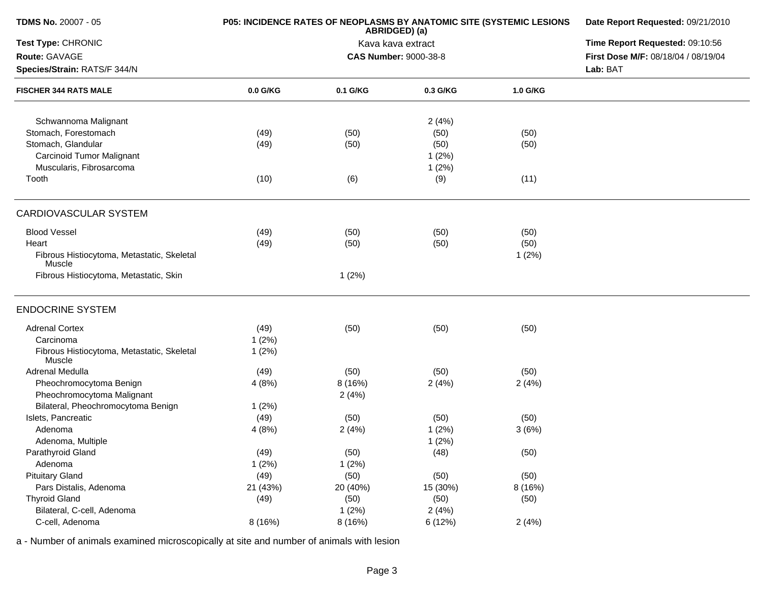| <b>TDMS No. 20007 - 05</b>                           | P05: INCIDENCE RATES OF NEOPLASMS BY ANATOMIC SITE (SYSTEMIC LESIONS | Date Report Requested: 09/21/2010 |                              |          |                                     |
|------------------------------------------------------|----------------------------------------------------------------------|-----------------------------------|------------------------------|----------|-------------------------------------|
| Test Type: CHRONIC                                   |                                                                      | Time Report Requested: 09:10:56   |                              |          |                                     |
| Route: GAVAGE                                        |                                                                      |                                   | <b>CAS Number: 9000-38-8</b> |          | First Dose M/F: 08/18/04 / 08/19/04 |
| Species/Strain: RATS/F 344/N                         |                                                                      |                                   |                              |          | Lab: BAT                            |
| <b>FISCHER 344 RATS MALE</b>                         | 0.0 G/KG                                                             | 0.1 G/KG                          | 0.3 G/KG                     | 1.0 G/KG |                                     |
| Schwannoma Malignant                                 |                                                                      |                                   | 2(4%)                        |          |                                     |
| Stomach, Forestomach                                 | (49)                                                                 | (50)                              | (50)                         | (50)     |                                     |
| Stomach, Glandular                                   | (49)                                                                 | (50)                              | (50)                         | (50)     |                                     |
| <b>Carcinoid Tumor Malignant</b>                     |                                                                      |                                   | 1(2%)                        |          |                                     |
| Muscularis, Fibrosarcoma                             |                                                                      |                                   | 1(2%)                        |          |                                     |
| Tooth                                                | (10)                                                                 | (6)                               | (9)                          | (11)     |                                     |
| <b>CARDIOVASCULAR SYSTEM</b>                         |                                                                      |                                   |                              |          |                                     |
| <b>Blood Vessel</b>                                  | (49)                                                                 | (50)                              | (50)                         | (50)     |                                     |
| Heart                                                | (49)                                                                 | (50)                              | (50)                         | (50)     |                                     |
| Fibrous Histiocytoma, Metastatic, Skeletal<br>Muscle |                                                                      |                                   |                              | 1(2%)    |                                     |
| Fibrous Histiocytoma, Metastatic, Skin               |                                                                      | 1(2%)                             |                              |          |                                     |
| <b>ENDOCRINE SYSTEM</b>                              |                                                                      |                                   |                              |          |                                     |
| <b>Adrenal Cortex</b>                                | (49)                                                                 | (50)                              | (50)                         | (50)     |                                     |
| Carcinoma                                            | 1(2%)                                                                |                                   |                              |          |                                     |
| Fibrous Histiocytoma, Metastatic, Skeletal<br>Muscle | 1(2%)                                                                |                                   |                              |          |                                     |
| Adrenal Medulla                                      | (49)                                                                 | (50)                              | (50)                         | (50)     |                                     |
| Pheochromocytoma Benign                              | 4(8%)                                                                | 8 (16%)                           | 2(4%)                        | 2(4%)    |                                     |
| Pheochromocytoma Malignant                           |                                                                      | 2(4%)                             |                              |          |                                     |
| Bilateral, Pheochromocytoma Benign                   | 1(2%)                                                                |                                   |                              |          |                                     |
| Islets, Pancreatic                                   | (49)                                                                 | (50)                              | (50)                         | (50)     |                                     |
| Adenoma                                              | 4(8%)                                                                | 2(4%)                             | 1(2%)                        | 3(6%)    |                                     |
| Adenoma, Multiple                                    |                                                                      |                                   | 1(2%)                        |          |                                     |
| Parathyroid Gland                                    | (49)                                                                 | (50)                              | (48)                         | (50)     |                                     |
| Adenoma                                              | 1(2%)                                                                | 1(2%)                             |                              |          |                                     |
| <b>Pituitary Gland</b>                               | (49)                                                                 | (50)                              | (50)                         | (50)     |                                     |
| Pars Distalis, Adenoma                               | 21 (43%)                                                             | 20 (40%)                          | 15 (30%)                     | 8 (16%)  |                                     |
| <b>Thyroid Gland</b>                                 | (49)                                                                 | (50)                              | (50)                         | (50)     |                                     |
| Bilateral, C-cell, Adenoma                           |                                                                      | 1(2%)                             | 2(4%)                        |          |                                     |
| C-cell, Adenoma                                      | 8 (16%)                                                              | 8 (16%)                           | 6 (12%)                      | 2(4%)    |                                     |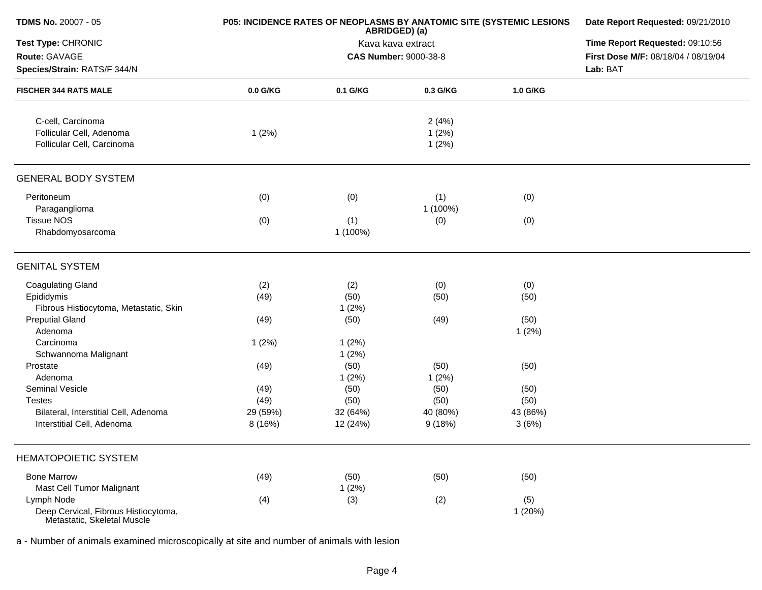| <b>TDMS No. 20007 - 05</b>                                          | P05: INCIDENCE RATES OF NEOPLASMS BY ANATOMIC SITE (SYSTEMIC LESIONS | Date Report Requested: 09/21/2010<br>Time Report Requested: 09:10:56 |                              |          |                                     |
|---------------------------------------------------------------------|----------------------------------------------------------------------|----------------------------------------------------------------------|------------------------------|----------|-------------------------------------|
| Test Type: CHRONIC                                                  |                                                                      |                                                                      |                              |          |                                     |
| Route: GAVAGE                                                       |                                                                      |                                                                      | <b>CAS Number: 9000-38-8</b> |          | First Dose M/F: 08/18/04 / 08/19/04 |
| Species/Strain: RATS/F 344/N                                        |                                                                      |                                                                      |                              |          | Lab: BAT                            |
| <b>FISCHER 344 RATS MALE</b>                                        | 0.0 G/KG                                                             | 0.1 G/KG                                                             | 0.3 G/KG                     | 1.0 G/KG |                                     |
| C-cell, Carcinoma                                                   |                                                                      |                                                                      | 2(4%)                        |          |                                     |
| Follicular Cell, Adenoma                                            | 1(2%)                                                                |                                                                      | 1(2%)                        |          |                                     |
| Follicular Cell, Carcinoma                                          |                                                                      |                                                                      | 1(2%)                        |          |                                     |
| <b>GENERAL BODY SYSTEM</b>                                          |                                                                      |                                                                      |                              |          |                                     |
| Peritoneum                                                          | (0)                                                                  | (0)                                                                  | (1)                          | (0)      |                                     |
| Paraganglioma                                                       |                                                                      |                                                                      | 1 (100%)                     |          |                                     |
| <b>Tissue NOS</b>                                                   | (0)                                                                  | (1)                                                                  | (0)                          | (0)      |                                     |
| Rhabdomyosarcoma                                                    |                                                                      | 1 (100%)                                                             |                              |          |                                     |
| <b>GENITAL SYSTEM</b>                                               |                                                                      |                                                                      |                              |          |                                     |
| <b>Coagulating Gland</b>                                            | (2)                                                                  | (2)                                                                  | (0)                          | (0)      |                                     |
| Epididymis                                                          | (49)                                                                 | (50)                                                                 | (50)                         | (50)     |                                     |
| Fibrous Histiocytoma, Metastatic, Skin                              |                                                                      | 1(2%)                                                                |                              |          |                                     |
| <b>Preputial Gland</b>                                              | (49)                                                                 | (50)                                                                 | (49)                         | (50)     |                                     |
| Adenoma                                                             |                                                                      |                                                                      |                              | 1(2%)    |                                     |
| Carcinoma                                                           | 1(2%)                                                                | 1(2%)                                                                |                              |          |                                     |
| Schwannoma Malignant                                                |                                                                      | 1(2%)                                                                |                              |          |                                     |
| Prostate                                                            | (49)                                                                 | (50)                                                                 | (50)                         | (50)     |                                     |
| Adenoma                                                             |                                                                      | 1(2%)                                                                | 1(2%)                        |          |                                     |
| Seminal Vesicle                                                     | (49)                                                                 | (50)                                                                 | (50)                         | (50)     |                                     |
| <b>Testes</b>                                                       | (49)                                                                 | (50)                                                                 | (50)                         | (50)     |                                     |
| Bilateral, Interstitial Cell, Adenoma                               | 29 (59%)                                                             | 32 (64%)                                                             | 40 (80%)                     | 43 (86%) |                                     |
| Interstitial Cell, Adenoma                                          | 8(16%)                                                               | 12 (24%)                                                             | 9(18%)                       | 3(6%)    |                                     |
| <b>HEMATOPOIETIC SYSTEM</b>                                         |                                                                      |                                                                      |                              |          |                                     |
| <b>Bone Marrow</b>                                                  | (49)                                                                 | (50)                                                                 | (50)                         | (50)     |                                     |
| Mast Cell Tumor Malignant                                           |                                                                      | 1(2%)                                                                |                              |          |                                     |
| Lymph Node                                                          | (4)                                                                  | (3)                                                                  | (2)                          | (5)      |                                     |
| Deep Cervical, Fibrous Histiocytoma,<br>Metastatic, Skeletal Muscle |                                                                      |                                                                      |                              | 1(20%)   |                                     |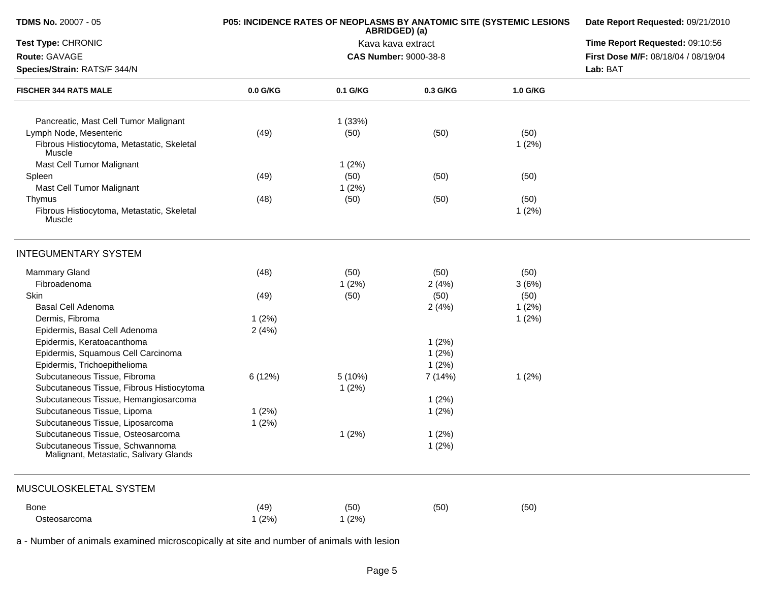| TDMS No. 20007 - 05                                                       | P05: INCIDENCE RATES OF NEOPLASMS BY ANATOMIC SITE (SYSTEMIC LESIONS | Date Report Requested: 09/21/2010<br>Time Report Requested: 09:10:56 |                              |          |                                     |
|---------------------------------------------------------------------------|----------------------------------------------------------------------|----------------------------------------------------------------------|------------------------------|----------|-------------------------------------|
| Test Type: CHRONIC                                                        |                                                                      |                                                                      |                              |          |                                     |
| Route: GAVAGE                                                             |                                                                      |                                                                      | <b>CAS Number: 9000-38-8</b> |          | First Dose M/F: 08/18/04 / 08/19/04 |
| Species/Strain: RATS/F 344/N                                              |                                                                      |                                                                      |                              |          | Lab: BAT                            |
| <b>FISCHER 344 RATS MALE</b>                                              | $0.0$ G/KG                                                           | 0.1 G/KG                                                             | 0.3 G/KG                     | 1.0 G/KG |                                     |
| Pancreatic, Mast Cell Tumor Malignant                                     |                                                                      | 1(33%)                                                               |                              |          |                                     |
| Lymph Node, Mesenteric                                                    | (49)                                                                 | (50)                                                                 | (50)                         | (50)     |                                     |
| Fibrous Histiocytoma, Metastatic, Skeletal<br>Muscle                      |                                                                      |                                                                      |                              | 1(2%)    |                                     |
| Mast Cell Tumor Malignant                                                 |                                                                      | 1(2%)                                                                |                              |          |                                     |
| Spleen                                                                    | (49)                                                                 | (50)                                                                 | (50)                         | (50)     |                                     |
| Mast Cell Tumor Malignant                                                 |                                                                      | 1(2%)                                                                |                              |          |                                     |
| Thymus                                                                    | (48)                                                                 | (50)                                                                 | (50)                         | (50)     |                                     |
| Fibrous Histiocytoma, Metastatic, Skeletal<br>Muscle                      |                                                                      |                                                                      |                              | 1(2%)    |                                     |
| <b>INTEGUMENTARY SYSTEM</b>                                               |                                                                      |                                                                      |                              |          |                                     |
| <b>Mammary Gland</b>                                                      | (48)                                                                 | (50)                                                                 | (50)                         | (50)     |                                     |
| Fibroadenoma                                                              |                                                                      | 1(2%)                                                                | 2(4%)                        | 3(6%)    |                                     |
| Skin                                                                      | (49)                                                                 | (50)                                                                 | (50)                         | (50)     |                                     |
| Basal Cell Adenoma                                                        |                                                                      |                                                                      | 2(4%)                        | 1(2%)    |                                     |
| Dermis, Fibroma                                                           | 1(2%)                                                                |                                                                      |                              | 1(2%)    |                                     |
| Epidermis, Basal Cell Adenoma                                             | 2(4%)                                                                |                                                                      |                              |          |                                     |
| Epidermis, Keratoacanthoma                                                |                                                                      |                                                                      | 1(2%)                        |          |                                     |
| Epidermis, Squamous Cell Carcinoma                                        |                                                                      |                                                                      | 1(2%)                        |          |                                     |
| Epidermis, Trichoepithelioma                                              |                                                                      |                                                                      | 1(2%)                        |          |                                     |
| Subcutaneous Tissue, Fibroma                                              | 6(12%)                                                               | 5 (10%)                                                              | 7 (14%)                      | 1(2%)    |                                     |
| Subcutaneous Tissue, Fibrous Histiocytoma                                 |                                                                      | 1(2%)                                                                |                              |          |                                     |
| Subcutaneous Tissue, Hemangiosarcoma                                      |                                                                      |                                                                      | 1(2%)                        |          |                                     |
| Subcutaneous Tissue, Lipoma                                               | 1(2%)                                                                |                                                                      | 1(2%)                        |          |                                     |
| Subcutaneous Tissue, Liposarcoma                                          | 1(2%)                                                                |                                                                      |                              |          |                                     |
| Subcutaneous Tissue, Osteosarcoma                                         |                                                                      | 1(2%)                                                                | 1(2%)                        |          |                                     |
| Subcutaneous Tissue, Schwannoma<br>Malignant, Metastatic, Salivary Glands |                                                                      |                                                                      | 1(2%)                        |          |                                     |
| MUSCULOSKELETAL SYSTEM                                                    |                                                                      |                                                                      |                              |          |                                     |
| Bone                                                                      | (49)                                                                 | (50)                                                                 | (50)                         | (50)     |                                     |
| Osteosarcoma                                                              | 1(2%)                                                                | 1(2%)                                                                |                              |          |                                     |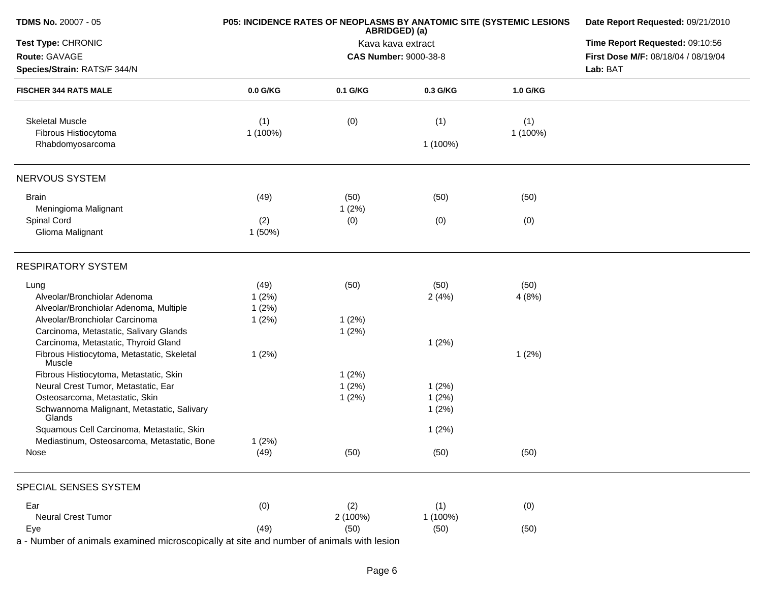| <b>TDMS No. 20007 - 05</b>                           | P05: INCIDENCE RATES OF NEOPLASMS BY ANATOMIC SITE (SYSTEMIC LESIONS | Date Report Requested: 09/21/2010  |                                 |          |                                     |
|------------------------------------------------------|----------------------------------------------------------------------|------------------------------------|---------------------------------|----------|-------------------------------------|
| Test Type: CHRONIC                                   |                                                                      | ABRIDGED) (a)<br>Kava kava extract | Time Report Requested: 09:10:56 |          |                                     |
| Route: GAVAGE                                        |                                                                      |                                    | <b>CAS Number: 9000-38-8</b>    |          | First Dose M/F: 08/18/04 / 08/19/04 |
| Species/Strain: RATS/F 344/N                         |                                                                      |                                    |                                 |          | Lab: BAT                            |
| <b>FISCHER 344 RATS MALE</b>                         | $0.0$ G/KG                                                           | 0.1 G/KG                           | 0.3 G/KG                        | 1.0 G/KG |                                     |
| <b>Skeletal Muscle</b>                               | (1)                                                                  | (0)                                | (1)                             | (1)      |                                     |
| Fibrous Histiocytoma<br>Rhabdomyosarcoma             | 1 (100%)                                                             |                                    | 1 (100%)                        | 1 (100%) |                                     |
| NERVOUS SYSTEM                                       |                                                                      |                                    |                                 |          |                                     |
| <b>Brain</b>                                         | (49)                                                                 | (50)                               | (50)                            | (50)     |                                     |
| Meningioma Malignant                                 |                                                                      | 1(2%)                              |                                 |          |                                     |
| Spinal Cord                                          | (2)                                                                  | (0)                                | (0)                             | (0)      |                                     |
| Glioma Malignant                                     | 1(50%)                                                               |                                    |                                 |          |                                     |
| <b>RESPIRATORY SYSTEM</b>                            |                                                                      |                                    |                                 |          |                                     |
| Lung                                                 | (49)                                                                 | (50)                               | (50)                            | (50)     |                                     |
| Alveolar/Bronchiolar Adenoma                         | 1(2%)                                                                |                                    | 2(4%)                           | 4(8%)    |                                     |
| Alveolar/Bronchiolar Adenoma, Multiple               | 1(2%)                                                                |                                    |                                 |          |                                     |
| Alveolar/Bronchiolar Carcinoma                       | 1(2%)                                                                | 1(2%)                              |                                 |          |                                     |
| Carcinoma, Metastatic, Salivary Glands               |                                                                      | 1(2%)                              |                                 |          |                                     |
| Carcinoma, Metastatic, Thyroid Gland                 |                                                                      |                                    | 1(2%)                           |          |                                     |
| Fibrous Histiocytoma, Metastatic, Skeletal<br>Muscle | 1(2%)                                                                |                                    |                                 | 1(2%)    |                                     |
| Fibrous Histiocytoma, Metastatic, Skin               |                                                                      | 1(2%)                              |                                 |          |                                     |
| Neural Crest Tumor, Metastatic, Ear                  |                                                                      | 1(2%)                              | 1(2%)                           |          |                                     |
| Osteosarcoma, Metastatic, Skin                       |                                                                      | 1(2%)                              | 1(2%)                           |          |                                     |
| Schwannoma Malignant, Metastatic, Salivary<br>Glands |                                                                      |                                    | 1(2%)                           |          |                                     |
| Squamous Cell Carcinoma, Metastatic, Skin            |                                                                      |                                    | 1(2%)                           |          |                                     |
| Mediastinum, Osteosarcoma, Metastatic, Bone          | 1(2%)                                                                |                                    |                                 |          |                                     |
| Nose                                                 | (49)                                                                 | (50)                               | (50)                            | (50)     |                                     |
| SPECIAL SENSES SYSTEM                                |                                                                      |                                    |                                 |          |                                     |
| Ear                                                  | (0)                                                                  | (2)                                | (1)                             | (0)      |                                     |
| Neural Crest Tumor                                   |                                                                      | 2 (100%)                           | 1 (100%)                        |          |                                     |
| Eye                                                  | (49)                                                                 | (50)                               | (50)                            | (50)     |                                     |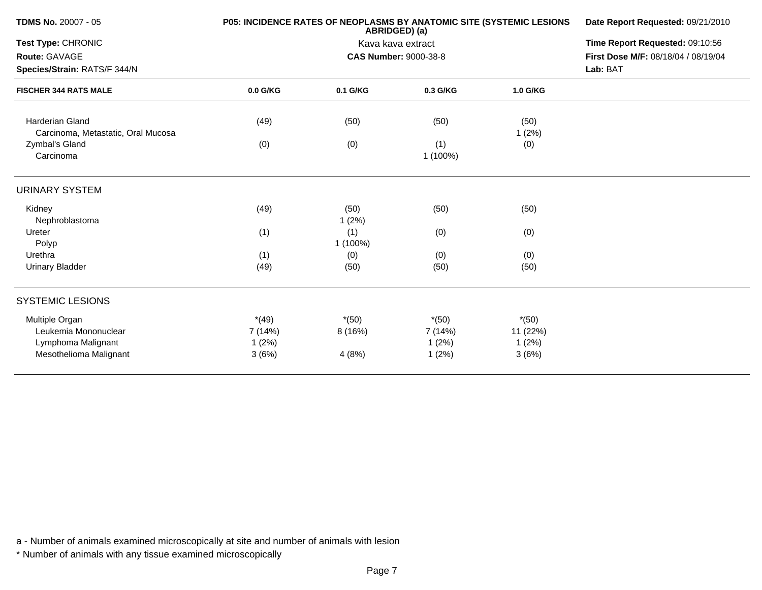| <b>TDMS No. 20007 - 05</b>                                   | P05: INCIDENCE RATES OF NEOPLASMS BY ANATOMIC SITE (SYSTEMIC LESIONS | Date Report Requested: 09/21/2010 |                              |                              |                                     |  |  |
|--------------------------------------------------------------|----------------------------------------------------------------------|-----------------------------------|------------------------------|------------------------------|-------------------------------------|--|--|
| <b>Test Type: CHRONIC</b>                                    |                                                                      | Kava kava extract                 |                              |                              |                                     |  |  |
| Route: GAVAGE                                                |                                                                      |                                   | <b>CAS Number: 9000-38-8</b> |                              | First Dose M/F: 08/18/04 / 08/19/04 |  |  |
| Species/Strain: RATS/F 344/N                                 |                                                                      |                                   |                              |                              | Lab: BAT                            |  |  |
| <b>FISCHER 344 RATS MALE</b>                                 | 0.0 G/KG                                                             | 0.1 G/KG                          | 0.3 G/KG                     | 1.0 G/KG                     |                                     |  |  |
| <b>Harderian Gland</b><br>Carcinoma, Metastatic, Oral Mucosa | (49)                                                                 | (50)                              | (50)                         | (50)<br>1(2%)                |                                     |  |  |
| Zymbal's Gland<br>Carcinoma                                  | (0)                                                                  | (0)                               | (1)<br>1 (100%)              | (0)                          |                                     |  |  |
| <b>URINARY SYSTEM</b>                                        |                                                                      |                                   |                              |                              |                                     |  |  |
| Kidney<br>Nephroblastoma                                     | (49)                                                                 | (50)<br>1(2%)                     | (50)                         | (50)                         |                                     |  |  |
| Ureter<br>Polyp                                              | (1)                                                                  | (1)<br>1 (100%)                   | (0)                          | (0)                          |                                     |  |  |
| Urethra<br><b>Urinary Bladder</b>                            | (1)<br>(49)                                                          | (0)<br>(50)                       | (0)<br>(50)                  | (0)<br>(50)                  |                                     |  |  |
| <b>SYSTEMIC LESIONS</b>                                      |                                                                      |                                   |                              |                              |                                     |  |  |
| Multiple Organ<br>Leukemia Mononuclear<br>Lymphoma Malignant | $*(49)$<br>7 (14%)<br>1(2%)                                          | $*(50)$<br>8(16%)                 | $*(50)$<br>7 (14%)<br>1(2%)  | $*(50)$<br>11 (22%)<br>1(2%) |                                     |  |  |
| Mesothelioma Malignant                                       | 3(6%)                                                                | 4(8%)                             | 1(2%)                        | 3(6%)                        |                                     |  |  |

\* Number of animals with any tissue examined microscopically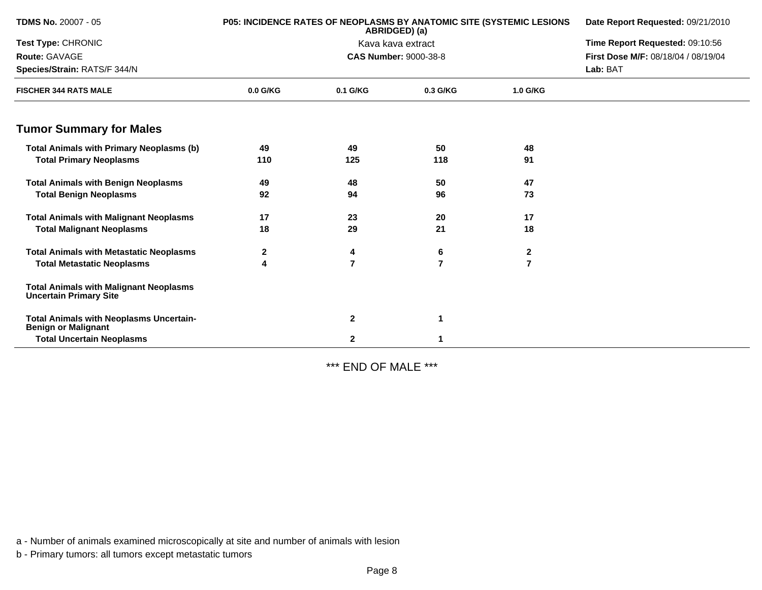| <b>TDMS No. 20007 - 05</b>                                                     |            | <b>P05: INCIDENCE RATES OF NEOPLASMS BY ANATOMIC SITE (SYSTEMIC LESIONS</b><br>ABRIDGED) (a) | Date Report Requested: 09/21/2010 |                |                                     |
|--------------------------------------------------------------------------------|------------|----------------------------------------------------------------------------------------------|-----------------------------------|----------------|-------------------------------------|
| Test Type: CHRONIC                                                             |            | Kava kava extract                                                                            | Time Report Requested: 09:10:56   |                |                                     |
| Route: GAVAGE                                                                  |            |                                                                                              | <b>CAS Number: 9000-38-8</b>      |                | First Dose M/F: 08/18/04 / 08/19/04 |
| Species/Strain: RATS/F 344/N                                                   |            |                                                                                              |                                   | Lab: BAT       |                                     |
| <b>FISCHER 344 RATS MALE</b>                                                   | $0.0$ G/KG | 0.1 G/KG                                                                                     | 0.3 G/KG                          | 1.0 G/KG       |                                     |
| <b>Tumor Summary for Males</b>                                                 |            |                                                                                              |                                   |                |                                     |
| <b>Total Animals with Primary Neoplasms (b)</b>                                | 49         | 49                                                                                           | 50                                | 48             |                                     |
| <b>Total Primary Neoplasms</b>                                                 | 110        | 125                                                                                          | 118                               | 91             |                                     |
| <b>Total Animals with Benign Neoplasms</b>                                     | 49         | 48                                                                                           | 50                                | 47             |                                     |
| <b>Total Benign Neoplasms</b>                                                  | 92         | 94                                                                                           | 96                                | 73             |                                     |
| <b>Total Animals with Malignant Neoplasms</b>                                  | 17         | 23                                                                                           | 20                                | 17             |                                     |
| <b>Total Malignant Neoplasms</b>                                               | 18         | 29                                                                                           | 21                                | 18             |                                     |
| <b>Total Animals with Metastatic Neoplasms</b>                                 | 2          | 4                                                                                            | 6                                 | $\mathbf{2}$   |                                     |
| <b>Total Metastatic Neoplasms</b>                                              | 4          | 7                                                                                            | $\overline{7}$                    | $\overline{7}$ |                                     |
| <b>Total Animals with Malignant Neoplasms</b><br><b>Uncertain Primary Site</b> |            |                                                                                              |                                   |                |                                     |
| <b>Total Animals with Neoplasms Uncertain-</b><br><b>Benign or Malignant</b>   |            | $\mathbf{2}$                                                                                 | 1                                 |                |                                     |
| <b>Total Uncertain Neoplasms</b>                                               |            | 2                                                                                            |                                   |                |                                     |

\*\*\* END OF MALE \*\*\*

a - Number of animals examined microscopically at site and number of animals with lesion

b - Primary tumors: all tumors except metastatic tumors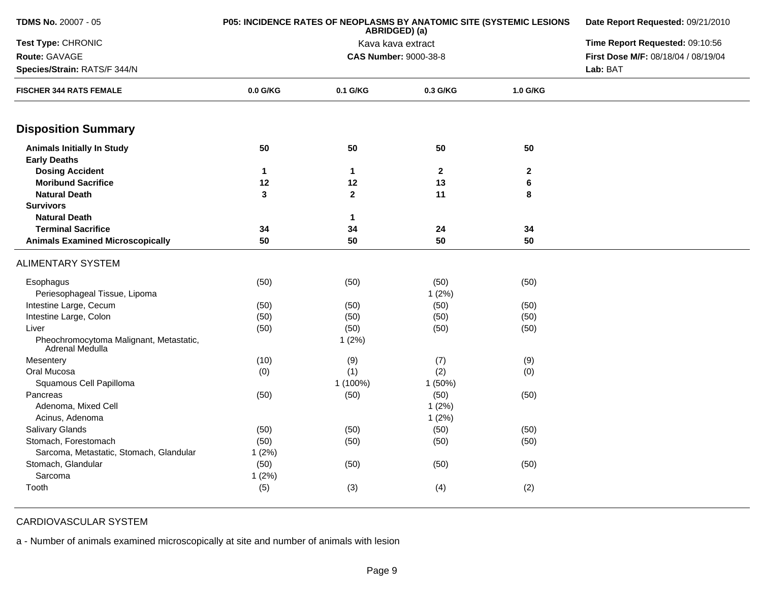| TDMS No. 20007 - 05                                        | P05: INCIDENCE RATES OF NEOPLASMS BY ANATOMIC SITE (SYSTEMIC LESIONS | Date Report Requested: 09/21/2010<br>Time Report Requested: 09:10:56 |              |              |                                     |
|------------------------------------------------------------|----------------------------------------------------------------------|----------------------------------------------------------------------|--------------|--------------|-------------------------------------|
| Test Type: CHRONIC                                         |                                                                      |                                                                      |              |              |                                     |
| Route: GAVAGE                                              |                                                                      | <b>CAS Number: 9000-38-8</b>                                         |              |              | First Dose M/F: 08/18/04 / 08/19/04 |
| Species/Strain: RATS/F 344/N                               |                                                                      |                                                                      |              |              | Lab: BAT                            |
| <b>FISCHER 344 RATS FEMALE</b>                             | $0.0$ G/KG                                                           | 0.1 G/KG                                                             | 0.3 G/KG     | 1.0 G/KG     |                                     |
| <b>Disposition Summary</b>                                 |                                                                      |                                                                      |              |              |                                     |
| <b>Animals Initially In Study</b>                          | 50                                                                   | 50                                                                   | 50           | 50           |                                     |
| <b>Early Deaths</b>                                        |                                                                      |                                                                      |              |              |                                     |
| <b>Dosing Accident</b>                                     | $\mathbf{1}$                                                         | $\mathbf{1}$                                                         | $\mathbf{2}$ | $\mathbf{2}$ |                                     |
| <b>Moribund Sacrifice</b>                                  | 12                                                                   | 12                                                                   | 13           | 6            |                                     |
| <b>Natural Death</b>                                       | 3                                                                    | $\overline{2}$                                                       | 11           | 8            |                                     |
| <b>Survivors</b>                                           |                                                                      |                                                                      |              |              |                                     |
| <b>Natural Death</b>                                       |                                                                      | $\mathbf{1}$                                                         |              |              |                                     |
| <b>Terminal Sacrifice</b>                                  | 34                                                                   | 34                                                                   | 24           | 34           |                                     |
| <b>Animals Examined Microscopically</b>                    | 50                                                                   | 50                                                                   | 50           | 50           |                                     |
| <b>ALIMENTARY SYSTEM</b>                                   |                                                                      |                                                                      |              |              |                                     |
| Esophagus                                                  | (50)                                                                 | (50)                                                                 | (50)         | (50)         |                                     |
| Periesophageal Tissue, Lipoma                              |                                                                      |                                                                      | 1(2%)        |              |                                     |
| Intestine Large, Cecum                                     | (50)                                                                 | (50)                                                                 | (50)         | (50)         |                                     |
| Intestine Large, Colon                                     | (50)                                                                 | (50)                                                                 | (50)         | (50)         |                                     |
| Liver                                                      | (50)                                                                 | (50)                                                                 | (50)         | (50)         |                                     |
| Pheochromocytoma Malignant, Metastatic,<br>Adrenal Medulla |                                                                      | 1(2%)                                                                |              |              |                                     |
| Mesentery                                                  | (10)                                                                 | (9)                                                                  | (7)          | (9)          |                                     |
| Oral Mucosa                                                | (0)                                                                  | (1)                                                                  | (2)          | (0)          |                                     |
| Squamous Cell Papilloma                                    |                                                                      | 1 (100%)                                                             | 1(50%)       |              |                                     |
| Pancreas                                                   | (50)                                                                 | (50)                                                                 | (50)         | (50)         |                                     |
| Adenoma, Mixed Cell                                        |                                                                      |                                                                      | 1(2%)        |              |                                     |
| Acinus, Adenoma                                            |                                                                      |                                                                      | 1(2%)        |              |                                     |
| <b>Salivary Glands</b>                                     | (50)                                                                 | (50)                                                                 | (50)         | (50)         |                                     |
| Stomach, Forestomach                                       | (50)                                                                 | (50)                                                                 | (50)         | (50)         |                                     |
| Sarcoma, Metastatic, Stomach, Glandular                    | 1(2%)                                                                |                                                                      |              |              |                                     |
| Stomach, Glandular                                         | (50)                                                                 | (50)                                                                 | (50)         | (50)         |                                     |
| Sarcoma                                                    | 1(2%)                                                                |                                                                      |              |              |                                     |
| Tooth                                                      | (5)                                                                  | (3)                                                                  | (4)          | (2)          |                                     |

## CARDIOVASCULAR SYSTEM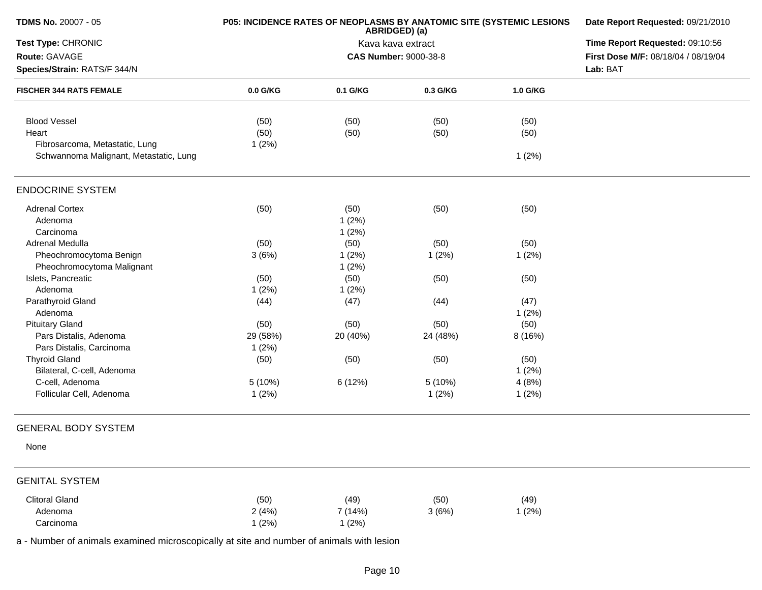| <b>TDMS No. 20007 - 05</b>             | P05: INCIDENCE RATES OF NEOPLASMS BY ANATOMIC SITE (SYSTEMIC LESIONS | Date Report Requested: 09/21/2010 |                                 |          |                                     |
|----------------------------------------|----------------------------------------------------------------------|-----------------------------------|---------------------------------|----------|-------------------------------------|
| Test Type: CHRONIC                     |                                                                      | Kava kava extract                 | Time Report Requested: 09:10:56 |          |                                     |
| Route: GAVAGE                          |                                                                      |                                   | <b>CAS Number: 9000-38-8</b>    |          | First Dose M/F: 08/18/04 / 08/19/04 |
| Species/Strain: RATS/F 344/N           |                                                                      |                                   |                                 |          | Lab: BAT                            |
| <b>FISCHER 344 RATS FEMALE</b>         | 0.0 G/KG                                                             | 0.1 G/KG                          | 0.3 G/KG                        | 1.0 G/KG |                                     |
| <b>Blood Vessel</b>                    | (50)                                                                 | (50)                              | (50)                            | (50)     |                                     |
| Heart                                  | (50)                                                                 | (50)                              | (50)                            | (50)     |                                     |
| Fibrosarcoma, Metastatic, Lung         | 1(2%)                                                                |                                   |                                 |          |                                     |
| Schwannoma Malignant, Metastatic, Lung |                                                                      |                                   |                                 | 1(2%)    |                                     |
| <b>ENDOCRINE SYSTEM</b>                |                                                                      |                                   |                                 |          |                                     |
| <b>Adrenal Cortex</b>                  | (50)                                                                 | (50)                              | (50)                            | (50)     |                                     |
| Adenoma                                |                                                                      | 1(2%)                             |                                 |          |                                     |
| Carcinoma                              |                                                                      | 1(2%)                             |                                 |          |                                     |
| Adrenal Medulla                        | (50)                                                                 | (50)                              | (50)                            | (50)     |                                     |
| Pheochromocytoma Benign                | 3(6%)                                                                | 1(2%)                             | 1(2%)                           | 1(2%)    |                                     |
| Pheochromocytoma Malignant             |                                                                      | 1(2%)                             |                                 |          |                                     |
| Islets, Pancreatic                     | (50)                                                                 | (50)                              | (50)                            | (50)     |                                     |
| Adenoma                                | 1(2%)                                                                | 1(2%)                             |                                 |          |                                     |
| Parathyroid Gland                      | (44)                                                                 | (47)                              | (44)                            | (47)     |                                     |
| Adenoma                                |                                                                      |                                   |                                 | 1(2%)    |                                     |
| <b>Pituitary Gland</b>                 | (50)                                                                 | (50)                              | (50)                            | (50)     |                                     |
| Pars Distalis, Adenoma                 | 29 (58%)                                                             | 20 (40%)                          | 24 (48%)                        | 8 (16%)  |                                     |
| Pars Distalis, Carcinoma               | 1(2%)                                                                |                                   |                                 |          |                                     |
| <b>Thyroid Gland</b>                   | (50)                                                                 | (50)                              | (50)                            | (50)     |                                     |
| Bilateral, C-cell, Adenoma             |                                                                      |                                   |                                 | 1(2%)    |                                     |
| C-cell, Adenoma                        | 5(10%)                                                               | 6 (12%)                           | 5 (10%)                         | 4(8%)    |                                     |
| Follicular Cell, Adenoma               | 1(2%)                                                                |                                   | 1(2%)                           | 1(2%)    |                                     |
| <b>GENERAL BODY SYSTEM</b>             |                                                                      |                                   |                                 |          |                                     |
| None                                   |                                                                      |                                   |                                 |          |                                     |
| <b>GENITAL SYSTEM</b>                  |                                                                      |                                   |                                 |          |                                     |
| <b>Clitoral Gland</b>                  | (50)                                                                 | (49)                              | (50)                            | (49)     |                                     |
| Adenoma                                | 2(4%)                                                                | 7 (14%)                           | 3(6%)                           | 1(2%)    |                                     |
| Carcinoma                              | 1(2%)                                                                | 1(2%)                             |                                 |          |                                     |
|                                        |                                                                      |                                   |                                 |          |                                     |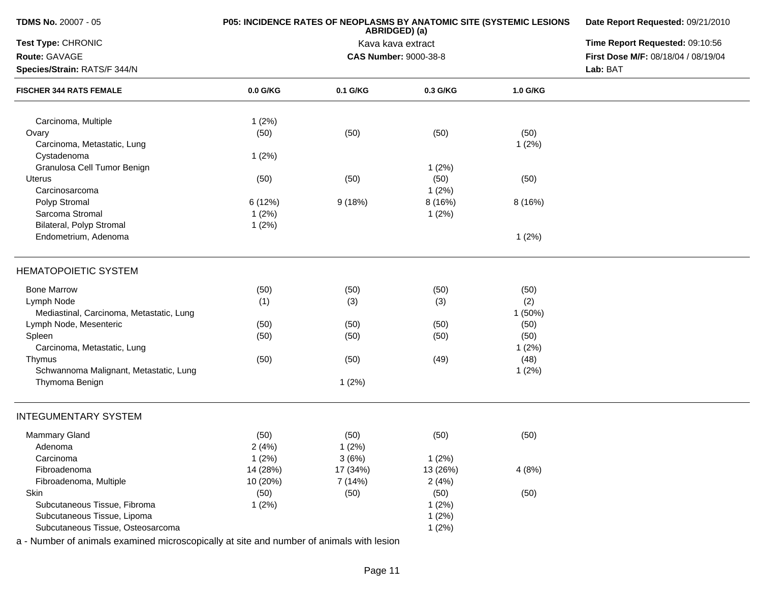| <b>TDMS No. 20007 - 05</b>                                                               | P05: INCIDENCE RATES OF NEOPLASMS BY ANATOMIC SITE (SYSTEMIC LESIONS | Date Report Requested: 09/21/2010 |                              |          |                                     |
|------------------------------------------------------------------------------------------|----------------------------------------------------------------------|-----------------------------------|------------------------------|----------|-------------------------------------|
| Test Type: CHRONIC                                                                       |                                                                      | Time Report Requested: 09:10:56   |                              |          |                                     |
| Route: GAVAGE                                                                            |                                                                      |                                   | <b>CAS Number: 9000-38-8</b> |          | First Dose M/F: 08/18/04 / 08/19/04 |
| Species/Strain: RATS/F 344/N                                                             |                                                                      |                                   |                              |          | Lab: BAT                            |
| <b>FISCHER 344 RATS FEMALE</b>                                                           | 0.0 G/KG                                                             | 0.1 G/KG                          | 0.3 G/KG                     | 1.0 G/KG |                                     |
| Carcinoma, Multiple                                                                      | 1(2%)                                                                |                                   |                              |          |                                     |
| Ovary                                                                                    | (50)                                                                 | (50)                              | (50)                         | (50)     |                                     |
| Carcinoma, Metastatic, Lung                                                              |                                                                      |                                   |                              | 1(2%)    |                                     |
| Cystadenoma                                                                              | 1(2%)                                                                |                                   |                              |          |                                     |
| Granulosa Cell Tumor Benign                                                              |                                                                      |                                   | 1(2%)                        |          |                                     |
| Uterus                                                                                   | (50)                                                                 | (50)                              | (50)                         | (50)     |                                     |
| Carcinosarcoma                                                                           |                                                                      |                                   | 1(2%)                        |          |                                     |
| Polyp Stromal                                                                            | 6(12%)                                                               | 9(18%)                            | 8 (16%)                      | 8(16%)   |                                     |
| Sarcoma Stromal                                                                          | 1(2%)                                                                |                                   | 1(2%)                        |          |                                     |
| <b>Bilateral, Polyp Stromal</b>                                                          | 1(2%)                                                                |                                   |                              |          |                                     |
| Endometrium, Adenoma                                                                     |                                                                      |                                   |                              | 1(2%)    |                                     |
| <b>HEMATOPOIETIC SYSTEM</b>                                                              |                                                                      |                                   |                              |          |                                     |
| <b>Bone Marrow</b>                                                                       | (50)                                                                 | (50)                              | (50)                         | (50)     |                                     |
| Lymph Node                                                                               | (1)                                                                  | (3)                               | (3)                          | (2)      |                                     |
| Mediastinal, Carcinoma, Metastatic, Lung                                                 |                                                                      |                                   |                              | 1(50%)   |                                     |
| Lymph Node, Mesenteric                                                                   | (50)                                                                 | (50)                              | (50)                         | (50)     |                                     |
| Spleen                                                                                   | (50)                                                                 | (50)                              | (50)                         | (50)     |                                     |
| Carcinoma, Metastatic, Lung                                                              |                                                                      |                                   |                              | 1(2%)    |                                     |
| Thymus                                                                                   | (50)                                                                 | (50)                              | (49)                         | (48)     |                                     |
| Schwannoma Malignant, Metastatic, Lung                                                   |                                                                      |                                   |                              | 1(2%)    |                                     |
| Thymoma Benign                                                                           |                                                                      | 1(2%)                             |                              |          |                                     |
| <b>INTEGUMENTARY SYSTEM</b>                                                              |                                                                      |                                   |                              |          |                                     |
| <b>Mammary Gland</b>                                                                     | (50)                                                                 | (50)                              | (50)                         | (50)     |                                     |
| Adenoma                                                                                  | 2(4%)                                                                | 1(2%)                             |                              |          |                                     |
| Carcinoma                                                                                | 1(2%)                                                                | 3(6%)                             | 1(2%)                        |          |                                     |
| Fibroadenoma                                                                             | 14 (28%)                                                             | 17 (34%)                          | 13 (26%)                     | 4(8%)    |                                     |
| Fibroadenoma, Multiple                                                                   | 10 (20%)                                                             | 7 (14%)                           | 2(4%)                        |          |                                     |
| Skin                                                                                     | (50)                                                                 | (50)                              | (50)                         | (50)     |                                     |
| Subcutaneous Tissue, Fibroma                                                             | 1(2%)                                                                |                                   | 1(2%)                        |          |                                     |
| Subcutaneous Tissue, Lipoma                                                              |                                                                      |                                   | 1(2%)                        |          |                                     |
| Subcutaneous Tissue, Osteosarcoma                                                        |                                                                      |                                   | 1(2%)                        |          |                                     |
| a - Number of animals examined microscopically at site and number of animals with lesion |                                                                      |                                   |                              |          |                                     |

Page 11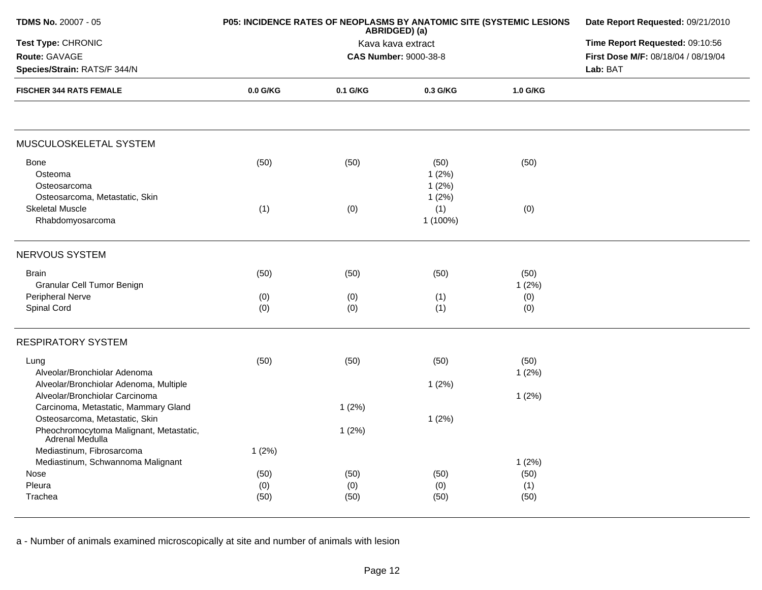| <b>TDMS No. 20007 - 05</b>                                               | P05: INCIDENCE RATES OF NEOPLASMS BY ANATOMIC SITE (SYSTEMIC LESIONS | Date Report Requested: 09/21/2010<br>Time Report Requested: 09:10:56 |                                 |               |                                     |
|--------------------------------------------------------------------------|----------------------------------------------------------------------|----------------------------------------------------------------------|---------------------------------|---------------|-------------------------------------|
| Test Type: CHRONIC                                                       |                                                                      |                                                                      |                                 |               |                                     |
| Route: GAVAGE                                                            |                                                                      |                                                                      | <b>CAS Number: 9000-38-8</b>    |               | First Dose M/F: 08/18/04 / 08/19/04 |
| Species/Strain: RATS/F 344/N                                             |                                                                      |                                                                      |                                 |               | Lab: BAT                            |
| <b>FISCHER 344 RATS FEMALE</b>                                           | 0.0 G/KG                                                             | 0.1 G/KG                                                             | 0.3 G/KG                        | 1.0 G/KG      |                                     |
| MUSCULOSKELETAL SYSTEM                                                   |                                                                      |                                                                      |                                 |               |                                     |
| Bone<br>Osteoma<br>Osteosarcoma<br>Osteosarcoma, Metastatic, Skin        | (50)                                                                 | (50)                                                                 | (50)<br>1(2%)<br>1(2%)<br>1(2%) | (50)          |                                     |
| <b>Skeletal Muscle</b><br>Rhabdomyosarcoma                               | (1)                                                                  | (0)                                                                  | (1)<br>1 (100%)                 | (0)           |                                     |
| NERVOUS SYSTEM                                                           |                                                                      |                                                                      |                                 |               |                                     |
| <b>Brain</b><br>Granular Cell Tumor Benign                               | (50)                                                                 | (50)                                                                 | (50)                            | (50)<br>1(2%) |                                     |
| <b>Peripheral Nerve</b><br>Spinal Cord                                   | (0)<br>(0)                                                           | (0)<br>(0)                                                           | (1)<br>(1)                      | (0)<br>(0)    |                                     |
| <b>RESPIRATORY SYSTEM</b>                                                |                                                                      |                                                                      |                                 |               |                                     |
| Lung<br>Alveolar/Bronchiolar Adenoma                                     | (50)                                                                 | (50)                                                                 | (50)                            | (50)<br>1(2%) |                                     |
| Alveolar/Bronchiolar Adenoma, Multiple<br>Alveolar/Bronchiolar Carcinoma |                                                                      |                                                                      | 1(2%)                           | 1(2%)         |                                     |
| Carcinoma, Metastatic, Mammary Gland<br>Osteosarcoma, Metastatic, Skin   |                                                                      | 1(2%)                                                                | 1(2%)                           |               |                                     |
| Pheochromocytoma Malignant, Metastatic,<br>Adrenal Medulla               |                                                                      | 1(2%)                                                                |                                 |               |                                     |
| Mediastinum, Fibrosarcoma<br>Mediastinum, Schwannoma Malignant           | 1(2%)                                                                |                                                                      |                                 | 1(2%)         |                                     |
| Nose                                                                     | (50)                                                                 | (50)                                                                 | (50)                            | (50)          |                                     |
| Pleura                                                                   | (0)                                                                  | (0)                                                                  | (0)                             | (1)           |                                     |
| Trachea                                                                  | (50)                                                                 | (50)                                                                 | (50)                            | (50)          |                                     |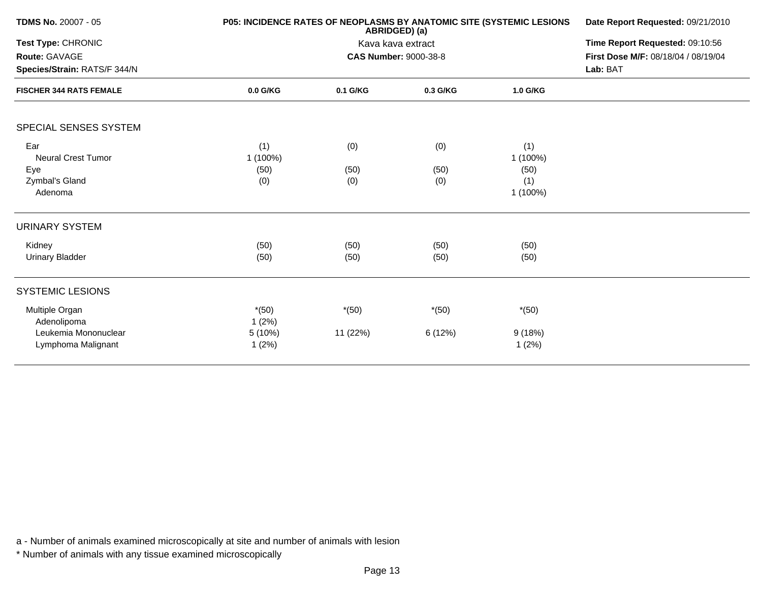| <b>TDMS No. 20007 - 05</b>                                                                            | <b>P05: INCIDENCE RATES OF NEOPLASMS BY ANATOMIC SITE (SYSTEMIC LESIONS</b> | Date Report Requested: 09/21/2010<br>Time Report Requested: 09:10:56<br>First Dose M/F: 08/18/04 / 08/19/04<br>Lab: BAT |                    |                                            |  |
|-------------------------------------------------------------------------------------------------------|-----------------------------------------------------------------------------|-------------------------------------------------------------------------------------------------------------------------|--------------------|--------------------------------------------|--|
| Test Type: CHRONIC<br>Route: GAVAGE<br>Species/Strain: RATS/F 344/N<br><b>FISCHER 344 RATS FEMALE</b> |                                                                             |                                                                                                                         |                    |                                            |  |
|                                                                                                       | $0.0$ G/KG                                                                  | 0.1 G/KG                                                                                                                | 0.3 G/KG           | 1.0 G/KG                                   |  |
| SPECIAL SENSES SYSTEM                                                                                 |                                                                             |                                                                                                                         |                    |                                            |  |
| Ear<br><b>Neural Crest Tumor</b><br>Eye<br>Zymbal's Gland<br>Adenoma                                  | (1)<br>$1(100\%)$<br>(50)<br>(0)                                            | (0)<br>(50)<br>(0)                                                                                                      | (0)<br>(50)<br>(0) | (1)<br>1 (100%)<br>(50)<br>(1)<br>1 (100%) |  |
| <b>URINARY SYSTEM</b>                                                                                 |                                                                             |                                                                                                                         |                    |                                            |  |
| Kidney<br>Urinary Bladder                                                                             | (50)<br>(50)                                                                | (50)<br>(50)                                                                                                            | (50)<br>(50)       | (50)<br>(50)                               |  |
| <b>SYSTEMIC LESIONS</b>                                                                               |                                                                             |                                                                                                                         |                    |                                            |  |
| Multiple Organ<br>Adenolipoma<br>Leukemia Mononuclear<br>Lymphoma Malignant                           | $*(50)$<br>1(2%)<br>5(10%)<br>1(2%)                                         | $*(50)$<br>11 (22%)                                                                                                     | $*(50)$<br>6(12%)  | $*(50)$<br>9(18%)<br>1(2%)                 |  |
|                                                                                                       |                                                                             |                                                                                                                         |                    |                                            |  |

\* Number of animals with any tissue examined microscopically